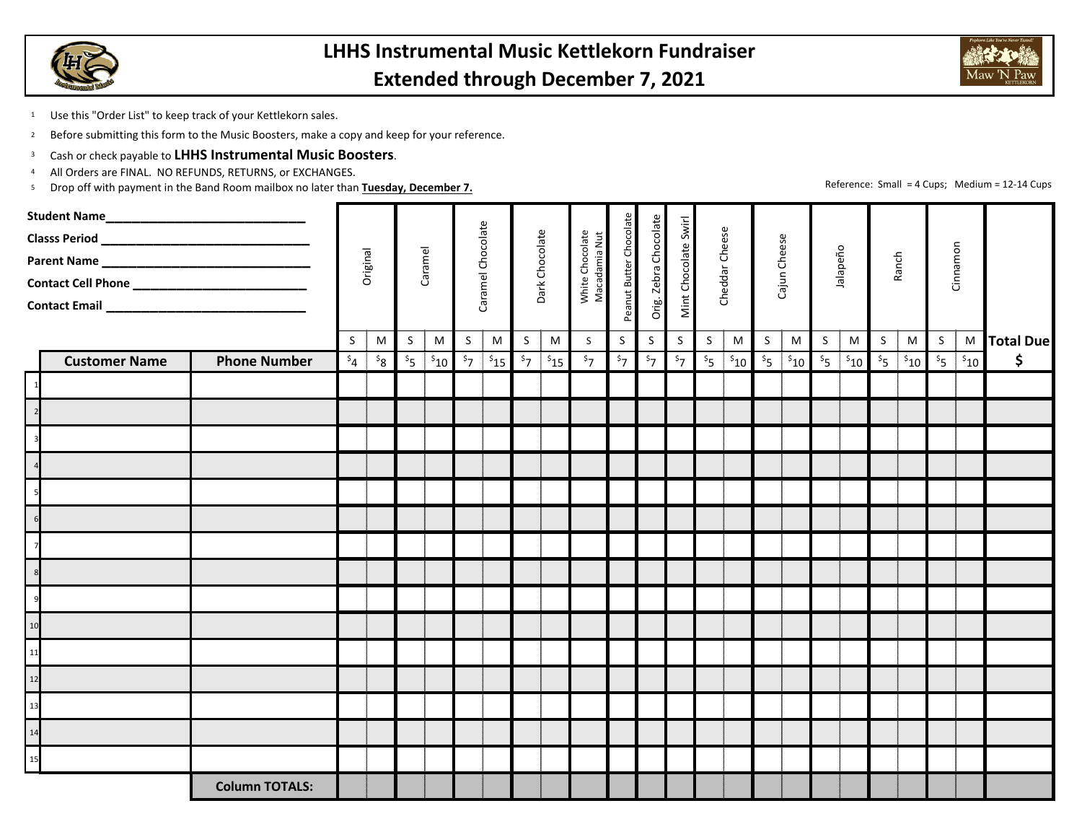



Reference: Small <sup>=</sup> 4 Cups; Medium <sup>=</sup> 12‐14 Cups

1Use this "Order List" to keep track of your Kettlekorn sales.

2<sup>2</sup> Before submitting this form to the Music Boosters, make a copy and keep for your reference.

- 3Cash or check payable to **LHHS Instrumental Music Boosters**.
- 4All Orders are FINAL. NO REFUNDS, RETURNS, or EXCHANGES.
- 5Drop off with payment in the Band Room mailbox no later than **Tuesday, December 7.**

|      |                      |                       |              |              |              |                       |                     |                       |                                |                       | White Chocolate<br>Macadamia Nut |                     |                                                                          |                     |                |                                           |              |                     |              |                     |                                |               |              |                                      |                   |
|------|----------------------|-----------------------|--------------|--------------|--------------|-----------------------|---------------------|-----------------------|--------------------------------|-----------------------|----------------------------------|---------------------|--------------------------------------------------------------------------|---------------------|----------------|-------------------------------------------|--------------|---------------------|--------------|---------------------|--------------------------------|---------------|--------------|--------------------------------------|-------------------|
|      |                      |                       |              | Original     |              | Caramel               |                     | Caramel Chocolate     |                                | Dark Chocolate        |                                  |                     | Peanut Butter Chocolate<br>Orig. Zebra Chocolate<br>Mint Chocolate Swirl |                     | Cheddar Cheese |                                           | Cajun Cheese |                     | Jalapeño     |                     | Ranch                          |               | Cinnamon     |                                      |                   |
|      |                      |                       |              |              |              |                       |                     |                       |                                |                       |                                  |                     |                                                                          |                     |                |                                           |              |                     |              |                     |                                |               |              |                                      |                   |
|      |                      |                       |              |              |              |                       |                     |                       |                                |                       |                                  |                     |                                                                          |                     |                |                                           |              |                     |              |                     |                                |               |              |                                      |                   |
|      |                      |                       |              |              |              |                       |                     |                       |                                |                       |                                  |                     |                                                                          |                     |                |                                           |              |                     |              |                     |                                |               |              |                                      |                   |
|      | <b>Customer Name</b> | <b>Phone Number</b>   | S<br>$s_{4}$ | M<br>$s_{8}$ | S<br>$S_{5}$ | M<br>$\frac{1}{2}$ 10 | S<br>s <sub>7</sub> | ${\sf M}$<br>$5_{15}$ | $\mathsf{S}$<br>s <sub>7</sub> | ${\sf M}$<br>$s_{15}$ | S<br>$\overline{\overline{57}}$  | S<br>s <sub>7</sub> | S<br>$\overline{\overline{57}}$                                          | S<br>s <sub>7</sub> | S              | M<br>$\mathfrak{s}_5$ $\mathfrak{s}_{10}$ | S            | M<br>$s_5$ $s_{10}$ | $\mathsf{S}$ | M<br>$s_5$ $s_{10}$ | $\mathsf{S}$<br>s <sub>5</sub> | M<br>$s_{10}$ | $\mathsf{S}$ | $\mathfrak{s}_5$ $\mathfrak{s}_{10}$ | M Total Due<br>\$ |
|      |                      |                       |              |              |              |                       |                     |                       |                                |                       |                                  |                     |                                                                          |                     |                |                                           |              |                     |              |                     |                                |               |              |                                      |                   |
|      |                      |                       |              |              |              |                       |                     |                       |                                |                       |                                  |                     |                                                                          |                     |                |                                           |              |                     |              |                     |                                |               |              |                                      |                   |
|      |                      |                       |              |              |              |                       |                     |                       |                                |                       |                                  |                     |                                                                          |                     |                |                                           |              |                     |              |                     |                                |               |              |                                      |                   |
|      |                      |                       |              |              |              |                       |                     |                       |                                |                       |                                  |                     |                                                                          |                     |                |                                           |              |                     |              |                     |                                |               |              |                                      |                   |
|      |                      |                       |              |              |              |                       |                     |                       |                                |                       |                                  |                     |                                                                          |                     |                |                                           |              |                     |              |                     |                                |               |              |                                      |                   |
|      |                      |                       |              |              |              |                       |                     |                       |                                |                       |                                  |                     |                                                                          |                     |                |                                           |              |                     |              |                     |                                |               |              |                                      |                   |
|      |                      |                       |              |              |              |                       |                     |                       |                                |                       |                                  |                     |                                                                          |                     |                |                                           |              |                     |              |                     |                                |               |              |                                      |                   |
|      |                      |                       |              |              |              |                       |                     |                       |                                |                       |                                  |                     |                                                                          |                     |                |                                           |              |                     |              |                     |                                |               |              |                                      |                   |
|      |                      |                       |              |              |              |                       |                     |                       |                                |                       |                                  |                     |                                                                          |                     |                |                                           |              |                     |              |                     |                                |               |              |                                      |                   |
|      |                      |                       |              |              |              |                       |                     |                       |                                |                       |                                  |                     |                                                                          |                     |                |                                           |              |                     |              |                     |                                |               |              |                                      |                   |
| 10   |                      |                       |              |              |              |                       |                     |                       |                                |                       |                                  |                     |                                                                          |                     |                |                                           |              |                     |              |                     |                                |               |              |                                      |                   |
| $11$ |                      |                       |              |              |              |                       |                     |                       |                                |                       |                                  |                     |                                                                          |                     |                |                                           |              |                     |              |                     |                                |               |              |                                      |                   |
| 12   |                      |                       |              |              |              |                       |                     |                       |                                |                       |                                  |                     |                                                                          |                     |                |                                           |              |                     |              |                     |                                |               |              |                                      |                   |
| 13   |                      |                       |              |              |              |                       |                     |                       |                                |                       |                                  |                     |                                                                          |                     |                |                                           |              |                     |              |                     |                                |               |              |                                      |                   |
| 14   |                      |                       |              |              |              |                       |                     |                       |                                |                       |                                  |                     |                                                                          |                     |                |                                           |              |                     |              |                     |                                |               |              |                                      |                   |
| 15   |                      |                       |              |              |              |                       |                     |                       |                                |                       |                                  |                     |                                                                          |                     |                |                                           |              |                     |              |                     |                                |               |              |                                      |                   |
|      |                      | <b>Column TOTALS:</b> |              |              |              |                       |                     |                       |                                |                       |                                  |                     |                                                                          |                     |                |                                           |              |                     |              |                     |                                |               |              |                                      |                   |